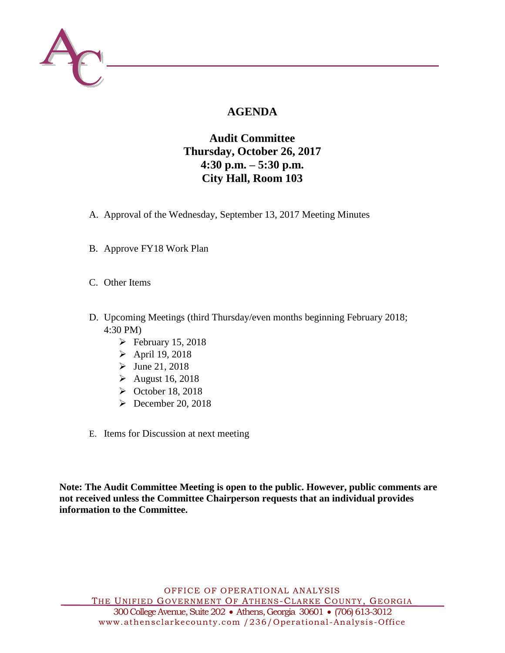

# **AGENDA**

# **Audit Committee Thursday, October 26, 2017 4:30 p.m. – 5:30 p.m. City Hall, Room 103**

- A. Approval of the Wednesday, September 13, 2017 Meeting Minutes
- B. Approve FY18 Work Plan
- C. Other Items
- D. Upcoming Meetings (third Thursday/even months beginning February 2018; 4:30 PM)
	- $\blacktriangleright$  February 15, 2018
	- $\triangleright$  April 19, 2018
	- $\triangleright$  June 21, 2018
	- $\blacktriangleright$  August 16, 2018
	- $\triangleright$  October 18, 2018
	- $\blacktriangleright$  December 20, 2018
- E. Items for Discussion at next meeting

**Note: The Audit Committee Meeting is open to the public. However, public comments are not received unless the Committee Chairperson requests that an individual provides information to the Committee.**